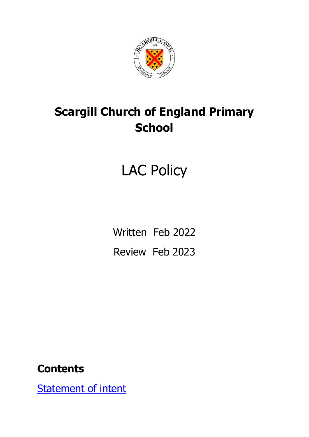

## **Scargill Church of England Primary School**

# LAC Policy

Written Feb 2022 Review Feb 2023

#### **Contents**

**[Statement of intent](#page-2-0)**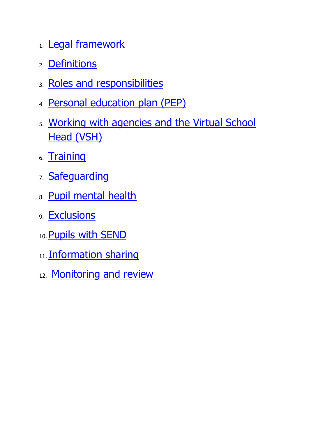- 1. [Legal framework](#page-4-0)
- 2. [Definitions](#page-5-0)
- 3. [Roles and responsibilities](#page-6-0)
- 4. [Personal education plan \(PEP\)](#page-14-0)
- 5. [Working with agencies and the Virtual School](#page-16-0)  [Head \(VSH\)](#page-16-0)
- 6. [Training](#page-18-0)
- 7. [Safeguarding](#page-19-0)
- 8. [Pupil mental health](#page-20-0)
- 9. [Exclusions](#page-22-0)
- 10. [Pupils with SEND](#page-23-0)
- 11. [Information sharing](#page-24-0)
- 12. [Monitoring and review](#page-25-0)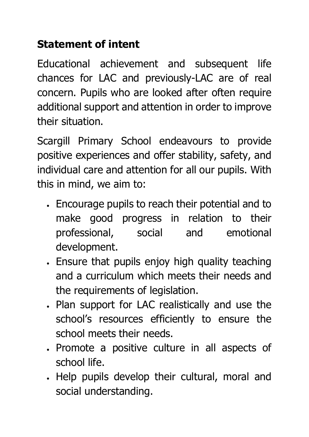#### <span id="page-2-0"></span>**Statement of intent**

Educational achievement and subsequent life chances for LAC and previously-LAC are of real concern. Pupils who are looked after often require additional support and attention in order to improve their situation.

Scargill Primary School endeavours to provide positive experiences and offer stability, safety, and individual care and attention for all our pupils. With this in mind, we aim to:

- Encourage pupils to reach their potential and to make good progress in relation to their professional, social and emotional development.
- Ensure that pupils enjoy high quality teaching and a curriculum which meets their needs and the requirements of legislation.
- Plan support for LAC realistically and use the school's resources efficiently to ensure the school meets their needs.
- Promote a positive culture in all aspects of school life.
- Help pupils develop their cultural, moral and social understanding.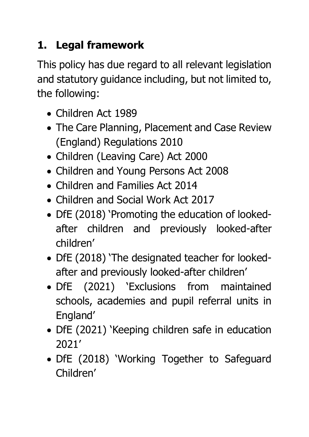#### <span id="page-4-0"></span>**1. Legal framework**

This policy has due regard to all relevant legislation and statutory guidance including, but not limited to, the following:

- Children Act 1989
- The Care Planning, Placement and Case Review (England) Regulations 2010
- Children (Leaving Care) Act 2000
- Children and Young Persons Act 2008
- Children and Families Act 2014
- Children and Social Work Act 2017
- DfE (2018) 'Promoting the education of lookedafter children and previously looked-after children'
- DfE (2018) 'The designated teacher for lookedafter and previously looked-after children'
- DfE (2021) 'Exclusions from maintained schools, academies and pupil referral units in England'
- DfE (2021) 'Keeping children safe in education 2021'
- DfE (2018) 'Working Together to Safeguard Children'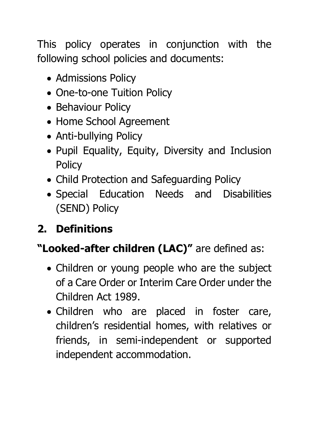This policy operates in conjunction with the following school policies and documents:

- Admissions Policy
- One-to-one Tuition Policy
- Behaviour Policy
- Home School Agreement
- Anti-bullying Policy
- Pupil Equality, Equity, Diversity and Inclusion **Policy**
- Child Protection and Safeguarding Policy
- Special Education Needs and Disabilities (SEND) Policy

#### <span id="page-5-0"></span>**2. Definitions**

#### **"Looked-after children (LAC)"** are defined as:

- Children or young people who are the subject of a Care Order or Interim Care Order under the Children Act 1989.
- Children who are placed in foster care, children's residential homes, with relatives or friends, in semi-independent or supported independent accommodation.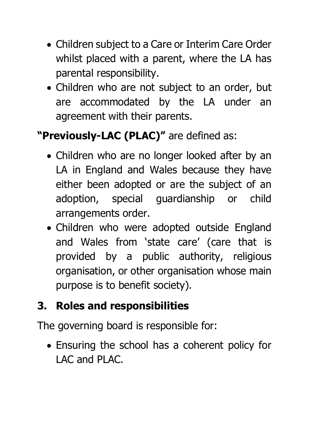- Children subject to a Care or Interim Care Order whilst placed with a parent, where the LA has parental responsibility.
- Children who are not subject to an order, but are accommodated by the LA under an agreement with their parents.

### **"Previously-LAC (PLAC)"** are defined as:

- Children who are no longer looked after by an LA in England and Wales because they have either been adopted or are the subject of an adoption, special guardianship or child arrangements order.
- Children who were adopted outside England and Wales from 'state care' (care that is provided by a public authority, religious organisation, or other organisation whose main purpose is to benefit society).

#### <span id="page-6-0"></span>**3. Roles and responsibilities**

The governing board is responsible for:

• Ensuring the school has a coherent policy for LAC and PLAC.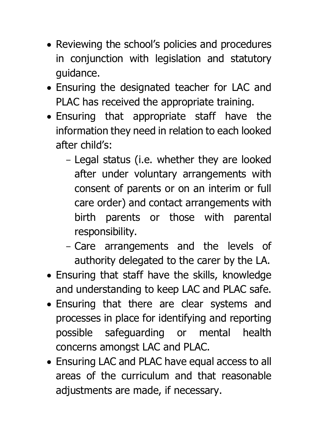- Reviewing the school's policies and procedures in conjunction with legislation and statutory guidance.
- Ensuring the designated teacher for LAC and PLAC has received the appropriate training.
- Ensuring that appropriate staff have the information they need in relation to each looked after child's:
	- Legal status (i.e. whether they are looked after under voluntary arrangements with consent of parents or on an interim or full care order) and contact arrangements with birth parents or those with parental responsibility.
	- Care arrangements and the levels of authority delegated to the carer by the LA.
- Ensuring that staff have the skills, knowledge and understanding to keep LAC and PLAC safe.
- Ensuring that there are clear systems and processes in place for identifying and reporting possible safeguarding or mental health concerns amongst LAC and PLAC.
- Ensuring LAC and PLAC have equal access to all areas of the curriculum and that reasonable adjustments are made, if necessary.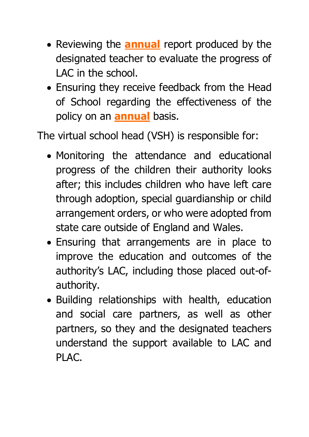- Reviewing the **annual** report produced by the designated teacher to evaluate the progress of LAC in the school.
- Ensuring they receive feedback from the Head of School regarding the effectiveness of the policy on an **annual** basis.

The virtual school head (VSH) is responsible for:

- Monitoring the attendance and educational progress of the children their authority looks after; this includes children who have left care through adoption, special guardianship or child arrangement orders, or who were adopted from state care outside of England and Wales.
- Ensuring that arrangements are in place to improve the education and outcomes of the authority's LAC, including those placed out-ofauthority.
- Building relationships with health, education and social care partners, as well as other partners, so they and the designated teachers understand the support available to LAC and PLAC.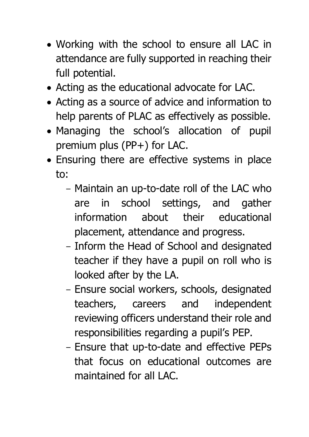- Working with the school to ensure all LAC in attendance are fully supported in reaching their full potential.
- Acting as the educational advocate for LAC.
- Acting as a source of advice and information to help parents of PLAC as effectively as possible.
- Managing the school's allocation of pupil premium plus (PP+) for LAC.
- Ensuring there are effective systems in place to:
	- Maintain an up-to-date roll of the LAC who are in school settings, and gather information about their educational placement, attendance and progress.
	- Inform the Head of School and designated teacher if they have a pupil on roll who is looked after by the LA.
	- Ensure social workers, schools, designated teachers, careers and independent reviewing officers understand their role and responsibilities regarding a pupil's PEP.
	- Ensure that up-to-date and effective PEPs that focus on educational outcomes are maintained for all LAC.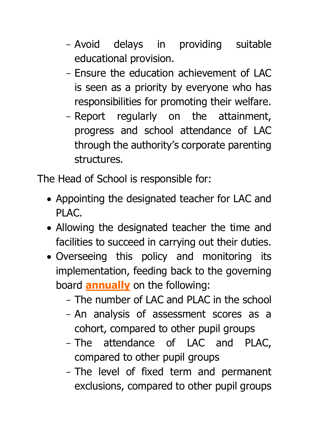- Avoid delays in providing suitable educational provision.
- Ensure the education achievement of LAC is seen as a priority by everyone who has responsibilities for promoting their welfare.
- Report regularly on the attainment, progress and school attendance of LAC through the authority's corporate parenting structures.

The Head of School is responsible for:

- Appointing the designated teacher for LAC and PLAC.
- Allowing the designated teacher the time and facilities to succeed in carrying out their duties.
- Overseeing this policy and monitoring its implementation, feeding back to the governing board **annually** on the following:
	- The number of LAC and PLAC in the school
	- An analysis of assessment scores as a cohort, compared to other pupil groups
	- The attendance of LAC and PLAC, compared to other pupil groups
	- The level of fixed term and permanent exclusions, compared to other pupil groups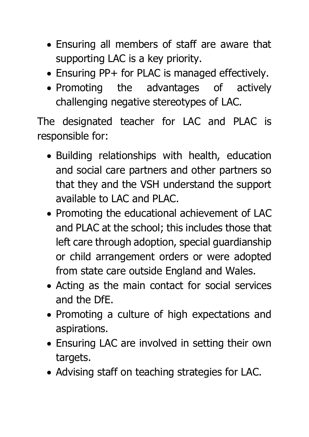- Ensuring all members of staff are aware that supporting LAC is a key priority.
- Ensuring PP+ for PLAC is managed effectively.
- Promoting the advantages of actively challenging negative stereotypes of LAC.

The designated teacher for LAC and PLAC is responsible for:

- Building relationships with health, education and social care partners and other partners so that they and the VSH understand the support available to LAC and PLAC.
- Promoting the educational achievement of LAC and PLAC at the school; this includes those that left care through adoption, special guardianship or child arrangement orders or were adopted from state care outside England and Wales.
- Acting as the main contact for social services and the DfE.
- Promoting a culture of high expectations and aspirations.
- Ensuring LAC are involved in setting their own targets.
- Advising staff on teaching strategies for LAC.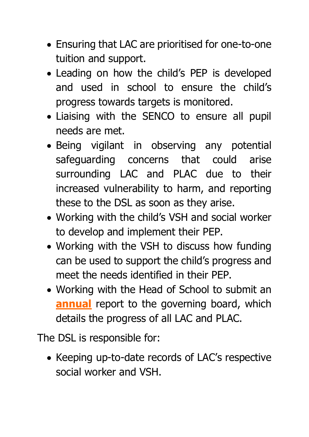- Ensuring that LAC are prioritised for one-to-one tuition and support.
- Leading on how the child's PEP is developed and used in school to ensure the child's progress towards targets is monitored.
- Liaising with the SENCO to ensure all pupil needs are met.
- Being vigilant in observing any potential safeguarding concerns that could arise surrounding LAC and PLAC due to their increased vulnerability to harm, and reporting these to the DSL as soon as they arise.
- Working with the child's VSH and social worker to develop and implement their PEP.
- Working with the VSH to discuss how funding can be used to support the child's progress and meet the needs identified in their PEP.
- Working with the Head of School to submit an **annual** report to the governing board, which details the progress of all LAC and PLAC.

The DSL is responsible for:

• Keeping up-to-date records of LAC's respective social worker and VSH.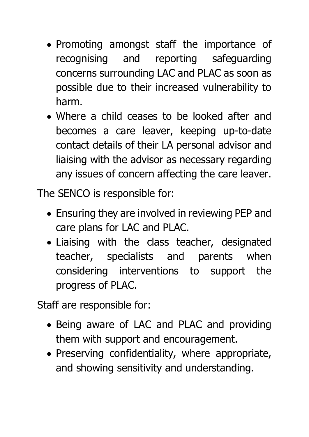- Promoting amongst staff the importance of recognising and reporting safeguarding concerns surrounding LAC and PLAC as soon as possible due to their increased vulnerability to harm.
- Where a child ceases to be looked after and becomes a care leaver, keeping up-to-date contact details of their LA personal advisor and liaising with the advisor as necessary regarding any issues of concern affecting the care leaver.

The SENCO is responsible for:

- Ensuring they are involved in reviewing PEP and care plans for LAC and PLAC.
- Liaising with the class teacher, designated teacher, specialists and parents when considering interventions to support the progress of PLAC.

Staff are responsible for:

- Being aware of LAC and PLAC and providing them with support and encouragement.
- Preserving confidentiality, where appropriate, and showing sensitivity and understanding.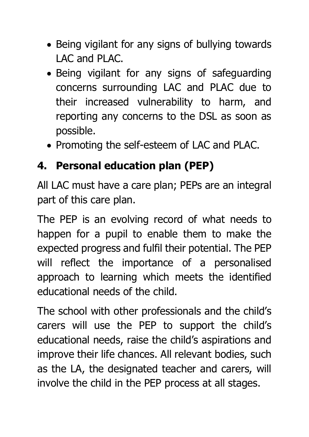- Being vigilant for any signs of bullying towards LAC and PLAC.
- Being vigilant for any signs of safeguarding concerns surrounding LAC and PLAC due to their increased vulnerability to harm, and reporting any concerns to the DSL as soon as possible.
- Promoting the self-esteem of LAC and PLAC.

#### <span id="page-14-0"></span>**4. Personal education plan (PEP)**

All LAC must have a care plan; PEPs are an integral part of this care plan.

The PEP is an evolving record of what needs to happen for a pupil to enable them to make the expected progress and fulfil their potential. The PEP will reflect the importance of a personalised approach to learning which meets the identified educational needs of the child.

The school with other professionals and the child's carers will use the PEP to support the child's educational needs, raise the child's aspirations and improve their life chances. All relevant bodies, such as the LA, the designated teacher and carers, will involve the child in the PEP process at all stages.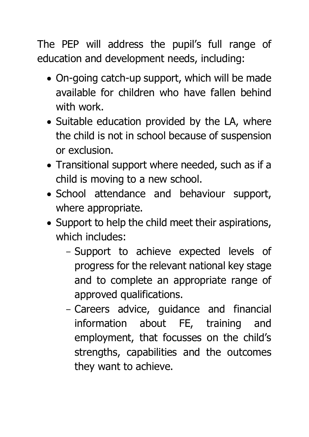The PEP will address the pupil's full range of education and development needs, including:

- On-going catch-up support, which will be made available for children who have fallen behind with work.
- Suitable education provided by the LA, where the child is not in school because of suspension or exclusion.
- Transitional support where needed, such as if a child is moving to a new school.
- School attendance and behaviour support, where appropriate.
- Support to help the child meet their aspirations, which includes:
	- Support to achieve expected levels of progress for the relevant national key stage and to complete an appropriate range of approved qualifications.
	- Careers advice, guidance and financial information about FE, training and employment, that focusses on the child's strengths, capabilities and the outcomes they want to achieve.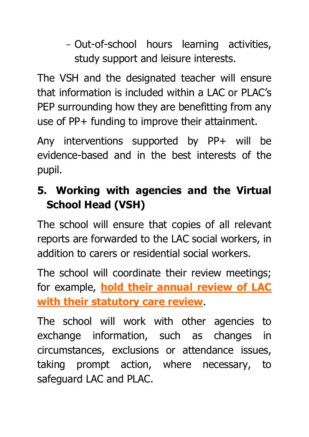- Out-of-school hours learning activities, study support and leisure interests.

The VSH and the designated teacher will ensure that information is included within a LAC or PLAC's PEP surrounding how they are benefitting from any use of PP+ funding to improve their attainment.

Any interventions supported by PP+ will be evidence-based and in the best interests of the pupil.

#### <span id="page-16-0"></span>**5. Working with agencies and the Virtual School Head (VSH)**

The school will ensure that copies of all relevant reports are forwarded to the LAC social workers, in addition to carers or residential social workers.

The school will coordinate their review meetings; for example, **hold their annual review of LAC with their statutory care review**.

The school will work with other agencies to exchange information, such as changes in circumstances, exclusions or attendance issues, taking prompt action, where necessary, to safeguard LAC and PLAC.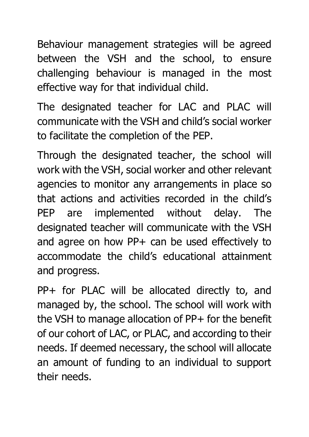Behaviour management strategies will be agreed between the VSH and the school, to ensure challenging behaviour is managed in the most effective way for that individual child.

The designated teacher for LAC and PLAC will communicate with the VSH and child's social worker to facilitate the completion of the PEP.

Through the designated teacher, the school will work with the VSH, social worker and other relevant agencies to monitor any arrangements in place so that actions and activities recorded in the child's PEP are implemented without delay. The designated teacher will communicate with the VSH and agree on how PP+ can be used effectively to accommodate the child's educational attainment and progress.

PP+ for PLAC will be allocated directly to, and managed by, the school. The school will work with the VSH to manage allocation of PP+ for the benefit of our cohort of LAC, or PLAC, and according to their needs. If deemed necessary, the school will allocate an amount of funding to an individual to support their needs.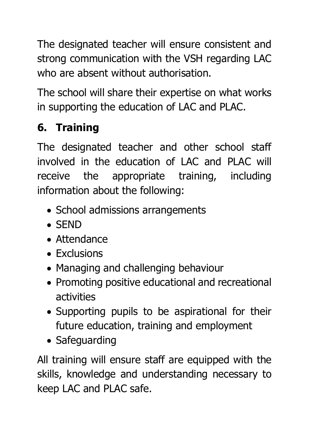The designated teacher will ensure consistent and strong communication with the VSH regarding LAC who are absent without authorisation.

The school will share their expertise on what works in supporting the education of LAC and PLAC.

## <span id="page-18-0"></span>**6. Training**

The designated teacher and other school staff involved in the education of LAC and PLAC will receive the appropriate training, including information about the following:

- School admissions arrangements
- SEND
- Attendance
- Exclusions
- Managing and challenging behaviour
- Promoting positive educational and recreational activities
- Supporting pupils to be aspirational for their future education, training and employment
- Safeguarding

All training will ensure staff are equipped with the skills, knowledge and understanding necessary to keep LAC and PLAC safe.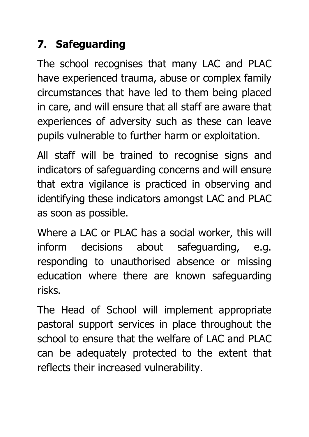#### <span id="page-19-0"></span>**7. Safeguarding**

The school recognises that many LAC and PLAC have experienced trauma, abuse or complex family circumstances that have led to them being placed in care, and will ensure that all staff are aware that experiences of adversity such as these can leave pupils vulnerable to further harm or exploitation.

All staff will be trained to recognise signs and indicators of safeguarding concerns and will ensure that extra vigilance is practiced in observing and identifying these indicators amongst LAC and PLAC as soon as possible.

Where a LAC or PLAC has a social worker, this will inform decisions about safeguarding, e.g. responding to unauthorised absence or missing education where there are known safeguarding risks.

The Head of School will implement appropriate pastoral support services in place throughout the school to ensure that the welfare of LAC and PLAC can be adequately protected to the extent that reflects their increased vulnerability.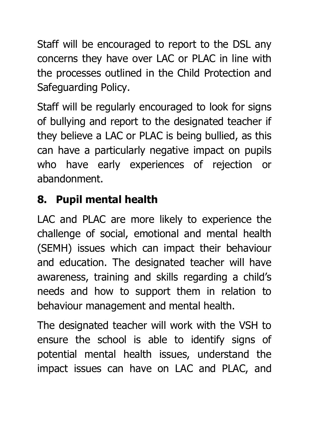Staff will be encouraged to report to the DSL any concerns they have over LAC or PLAC in line with the processes outlined in the Child Protection and Safeguarding Policy.

Staff will be regularly encouraged to look for signs of bullying and report to the designated teacher if they believe a LAC or PLAC is being bullied, as this can have a particularly negative impact on pupils who have early experiences of rejection or abandonment.

#### <span id="page-20-0"></span>**8. Pupil mental health**

LAC and PLAC are more likely to experience the challenge of social, emotional and mental health (SEMH) issues which can impact their behaviour and education. The designated teacher will have awareness, training and skills regarding a child's needs and how to support them in relation to behaviour management and mental health.

The designated teacher will work with the VSH to ensure the school is able to identify signs of potential mental health issues, understand the impact issues can have on LAC and PLAC, and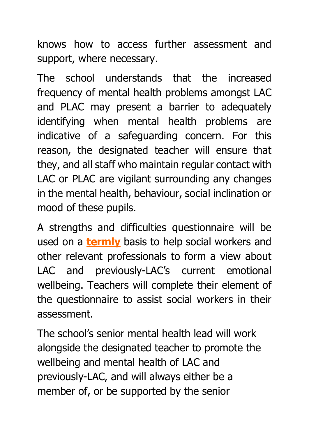knows how to access further assessment and support, where necessary.

The school understands that the increased frequency of mental health problems amongst LAC and PLAC may present a barrier to adequately identifying when mental health problems are indicative of a safeguarding concern. For this reason, the designated teacher will ensure that they, and all staff who maintain regular contact with LAC or PLAC are vigilant surrounding any changes in the mental health, behaviour, social inclination or mood of these pupils.

A strengths and difficulties questionnaire will be used on a **termly** basis to help social workers and other relevant professionals to form a view about LAC and previously-LAC's current emotional wellbeing. Teachers will complete their element of the questionnaire to assist social workers in their assessment.

The school's senior mental health lead will work alongside the designated teacher to promote the wellbeing and mental health of LAC and previously-LAC, and will always either be a member of, or be supported by the senior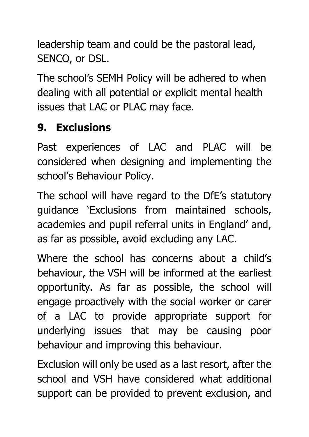leadership team and could be the pastoral lead, SENCO, or DSL.

The school's SEMH Policy will be adhered to when dealing with all potential or explicit mental health issues that LAC or PLAC may face.

#### <span id="page-22-0"></span>**9. Exclusions**

Past experiences of LAC and PLAC will be considered when designing and implementing the school's Behaviour Policy.

The school will have regard to the DfE's statutory guidance 'Exclusions from maintained schools, academies and pupil referral units in England' and, as far as possible, avoid excluding any LAC.

Where the school has concerns about a child's behaviour, the VSH will be informed at the earliest opportunity. As far as possible, the school will engage proactively with the social worker or carer of a LAC to provide appropriate support for underlying issues that may be causing poor behaviour and improving this behaviour.

Exclusion will only be used as a last resort, after the school and VSH have considered what additional support can be provided to prevent exclusion, and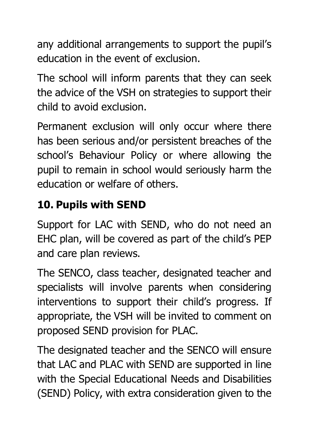any additional arrangements to support the pupil's education in the event of exclusion.

The school will inform parents that they can seek the advice of the VSH on strategies to support their child to avoid exclusion.

Permanent exclusion will only occur where there has been serious and/or persistent breaches of the school's Behaviour Policy or where allowing the pupil to remain in school would seriously harm the education or welfare of others.

#### <span id="page-23-0"></span>**10. Pupils with SEND**

Support for LAC with SEND, who do not need an EHC plan, will be covered as part of the child's PEP and care plan reviews.

The SENCO, class teacher, designated teacher and specialists will involve parents when considering interventions to support their child's progress. If appropriate, the VSH will be invited to comment on proposed SEND provision for PLAC.

The designated teacher and the SENCO will ensure that LAC and PLAC with SEND are supported in line with the Special Educational Needs and Disabilities (SEND) Policy, with extra consideration given to the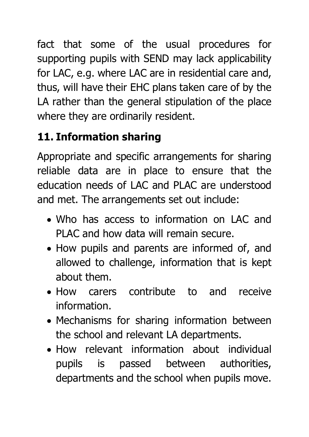fact that some of the usual procedures for supporting pupils with SEND may lack applicability for LAC, e.g. where LAC are in residential care and, thus, will have their EHC plans taken care of by the LA rather than the general stipulation of the place where they are ordinarily resident.

## <span id="page-24-0"></span>**11. Information sharing**

Appropriate and specific arrangements for sharing reliable data are in place to ensure that the education needs of LAC and PLAC are understood and met. The arrangements set out include:

- Who has access to information on LAC and PLAC and how data will remain secure.
- How pupils and parents are informed of, and allowed to challenge, information that is kept about them.
- How carers contribute to and receive information.
- Mechanisms for sharing information between the school and relevant LA departments.
- How relevant information about individual pupils is passed between authorities, departments and the school when pupils move.